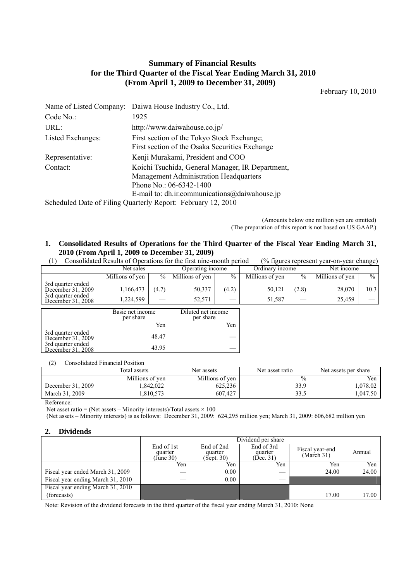# **Summary of Financial Results for the Third Quarter of the Fiscal Year Ending March 31, 2010 (From April 1, 2009 to December 31, 2009)**

February 10, 2010

| Name of Listed Company:                                      | Daiwa House Industry Co., Ltd.                                                                                               |  |  |  |
|--------------------------------------------------------------|------------------------------------------------------------------------------------------------------------------------------|--|--|--|
| Code No.:                                                    | 1925                                                                                                                         |  |  |  |
| URL:                                                         | http://www.daiwahouse.co.jp/                                                                                                 |  |  |  |
| Listed Exchanges:                                            | First section of the Tokyo Stock Exchange;<br>First section of the Osaka Securities Exchange                                 |  |  |  |
| Representative:                                              | Kenji Murakami, President and COO                                                                                            |  |  |  |
| Contact:                                                     | Koichi Tsuchida, General Manager, IR Department,<br><b>Management Administration Headquarters</b><br>Phone No.: 06-6342-1400 |  |  |  |
|                                                              | E-mail to: dh.ir.communications@daiwahouse.jp                                                                                |  |  |  |
| Scheduled Date of Filing Quarterly Report: February 12, 2010 |                                                                                                                              |  |  |  |

(Amounts below one million yen are omitted) (The preparation of this report is not based on US GAAP.)

#### **1. Consolidated Results of Operations for the Third Quarter of the Fiscal Year Ending March 31, 2010 (From April 1, 2009 to December 31, 2009)**  (1) Consolidated Results of Operations for the first nine-month period (% figures represent year-on-year change)

| Consondated Results of Oberations for the first fillie-filofith before<br>70 rigures represent year-on-year change) |                               |               |                                 |             |                  |             |                  |               |
|---------------------------------------------------------------------------------------------------------------------|-------------------------------|---------------|---------------------------------|-------------|------------------|-------------|------------------|---------------|
|                                                                                                                     | Net sales                     |               | Operating income                |             | Ordinary income  |             | Net income       |               |
|                                                                                                                     | Millions of yen               | $\frac{0}{0}$ | Millions of yen                 | $\%$        | Millions of yen  | $\%$        | Millions of yen  | $\frac{0}{0}$ |
| 3rd quarter ended<br>December 31, 2009<br>3rd quarter ended<br>December 31, 2008                                    | 1,166,473<br>1.224.599        | (4.7)         | 50,337<br>52,571                | (4.2)<br>__ | 50,121<br>51,587 | (2.8)<br>__ | 28,070<br>25,459 | 10.3          |
|                                                                                                                     | Basic net income<br>per share |               | Diluted net income<br>per share |             |                  |             |                  |               |
|                                                                                                                     |                               | Yen           |                                 | Yen         |                  |             |                  |               |

(2) Consolidated Financial Position

3rd quarter ended<br>December 31, 2009 48.47

December 31, 2008 43.95

|                   | Total assets    | Net assets      | Net asset ratio | Net assets per share |
|-------------------|-----------------|-----------------|-----------------|----------------------|
|                   | Millions of yen | Millions of yen | $\%$            | Yen                  |
| December 31, 2009 | .842.022        | 625,236         | 33.9            | .078.02              |
| March 31, 2009    | .810.573        | 607.427         | 33.5            | .047.50              |

Reference:

Net asset ratio = (Net assets – Minority interests)/Total assets  $\times$  100

(Net assets – Minority interests) is as follows: December 31, 2009: 624,295 million yen; March 31, 2009: 606,682 million yen

### **2. Dividends**

3rd quarter ended

|                                   | Dividend per share                 |                                     |                                    |                               |        |  |  |  |
|-----------------------------------|------------------------------------|-------------------------------------|------------------------------------|-------------------------------|--------|--|--|--|
|                                   | End of 1st<br>quarter<br>(June 30) | End of 2nd<br>quarter<br>(Sept. 30) | End of 3rd<br>quarter<br>(Dec. 31) | Fiscal year-end<br>(March 31) | Annual |  |  |  |
|                                   | Yen                                | Yen                                 | Yen                                | Yen                           | Yen    |  |  |  |
| Fiscal year ended March 31, 2009  |                                    | 0.00                                |                                    | 24.00                         | 24.00  |  |  |  |
| Fiscal year ending March 31, 2010 |                                    | 0.00                                |                                    |                               |        |  |  |  |
| Fiscal year ending March 31, 2010 |                                    |                                     |                                    |                               |        |  |  |  |
| (forecasts)                       |                                    |                                     |                                    | 17.00                         | 17.00  |  |  |  |

Note: Revision of the dividend forecasts in the third quarter of the fiscal year ending March 31, 2010: None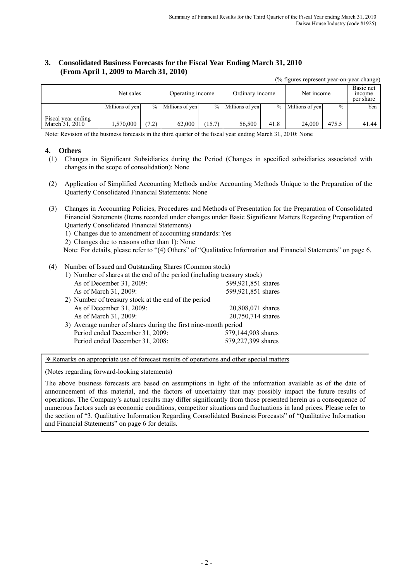# **3. Consolidated Business Forecasts for the Fiscal Year Ending March 31, 2010 (From April 1, 2009 to March 31, 2010)**

(% figures represent year-on-year change)

|                                      | Net sales       |               | Operating income |        | Ordinary income   |      | Net income      |       | Basic net<br>mcome<br>per share |
|--------------------------------------|-----------------|---------------|------------------|--------|-------------------|------|-----------------|-------|---------------------------------|
|                                      | Millions of yen | $\frac{0}{0}$ | Millions of yen  |        | % Millions of yen | $\%$ | Millions of yen | $\%$  | Yen                             |
| Fiscal year ending<br>March 31, 2010 | .570.000        | (7.2)         | 62,000           | (15.7) | 56.500            | 41.8 | 24.000          | 475.5 | 41.44                           |

Note: Revision of the business forecasts in the third quarter of the fiscal year ending March 31, 2010: None

## **4. Others**

- (1) Changes in Significant Subsidiaries during the Period (Changes in specified subsidiaries associated with changes in the scope of consolidation): None
- (2) Application of Simplified Accounting Methods and/or Accounting Methods Unique to the Preparation of the Quarterly Consolidated Financial Statements: None
- (3) Changes in Accounting Policies, Procedures and Methods of Presentation for the Preparation of Consolidated Financial Statements (Items recorded under changes under Basic Significant Matters Regarding Preparation of Quarterly Consolidated Financial Statements)
	- 1) Changes due to amendment of accounting standards: Yes
	- 2) Changes due to reasons other than 1): None

Note: For details, please refer to "(4) Others" of "Qualitative Information and Financial Statements" on page 6.

## (4) Number of Issued and Outstanding Shares (Common stock)

| 1) Number of shares at the end of the period (including treasury stock) |                    |  |  |  |  |
|-------------------------------------------------------------------------|--------------------|--|--|--|--|
| As of December 31, 2009:                                                | 599,921,851 shares |  |  |  |  |
| As of March 31, 2009:                                                   | 599,921,851 shares |  |  |  |  |
| 2) Number of treasury stock at the end of the period                    |                    |  |  |  |  |
| As of December 31, 2009:                                                | 20,808,071 shares  |  |  |  |  |
| As of March 31, 2009:                                                   | 20,750,714 shares  |  |  |  |  |
| 3) Average number of shares during the first nine-month period          |                    |  |  |  |  |
| Period ended December 31, 2009:                                         | 579,144,903 shares |  |  |  |  |
| Period ended December 31, 2008:                                         | 579,227,399 shares |  |  |  |  |

\*Remarks on appropriate use of forecast results of operations and other special matters

(Notes regarding forward-looking statements)

The above business forecasts are based on assumptions in light of the information available as of the date of announcement of this material, and the factors of uncertainty that may possibly impact the future results of operations. The Company's actual results may differ significantly from those presented herein as a consequence of numerous factors such as economic conditions, competitor situations and fluctuations in land prices. Please refer to the section of "3. Qualitative Information Regarding Consolidated Business Forecasts" of "Qualitative Information and Financial Statements" on page 6 for details.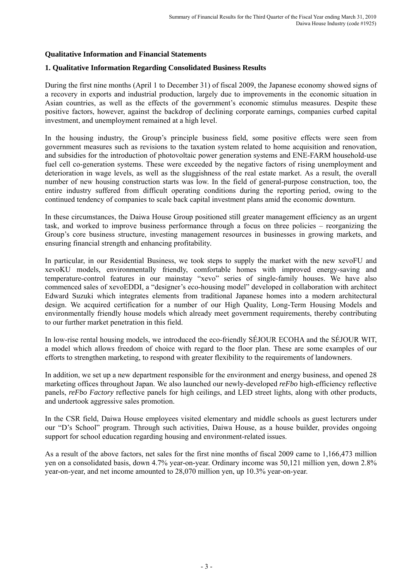## **Qualitative Information and Financial Statements**

## **1. Qualitative Information Regarding Consolidated Business Results**

During the first nine months (April 1 to December 31) of fiscal 2009, the Japanese economy showed signs of a recovery in exports and industrial production, largely due to improvements in the economic situation in Asian countries, as well as the effects of the government's economic stimulus measures. Despite these positive factors, however, against the backdrop of declining corporate earnings, companies curbed capital investment, and unemployment remained at a high level.

In the housing industry, the Group's principle business field, some positive effects were seen from government measures such as revisions to the taxation system related to home acquisition and renovation, and subsidies for the introduction of photovoltaic power generation systems and ENE-FARM household-use fuel cell co-generation systems. These were exceeded by the negative factors of rising unemployment and deterioration in wage levels, as well as the sluggishness of the real estate market. As a result, the overall number of new housing construction starts was low. In the field of general-purpose construction, too, the entire industry suffered from difficult operating conditions during the reporting period, owing to the continued tendency of companies to scale back capital investment plans amid the economic downturn.

In these circumstances, the Daiwa House Group positioned still greater management efficiency as an urgent task, and worked to improve business performance through a focus on three policies – reorganizing the Group's core business structure, investing management resources in businesses in growing markets, and ensuring financial strength and enhancing profitability.

In particular, in our Residential Business, we took steps to supply the market with the new xevoFU and xevoKU models, environmentally friendly, comfortable homes with improved energy-saving and temperature-control features in our mainstay "xevo" series of single-family houses. We have also commenced sales of xevoEDDI, a "designer's eco-housing model" developed in collaboration with architect Edward Suzuki which integrates elements from traditional Japanese homes into a modern architectural design. We acquired certification for a number of our High Quality, Long-Term Housing Models and environmentally friendly house models which already meet government requirements, thereby contributing to our further market penetration in this field.

In low-rise rental housing models, we introduced the eco-friendly SÉJOUR ECOHA and the SÉJOUR WIT, a model which allows freedom of choice with regard to the floor plan. These are some examples of our efforts to strengthen marketing, to respond with greater flexibility to the requirements of landowners.

In addition, we set up a new department responsible for the environment and energy business, and opened 28 marketing offices throughout Japan. We also launched our newly-developed *reFbo* high-efficiency reflective panels, *reFbo Factory* reflective panels for high ceilings, and LED street lights, along with other products, and undertook aggressive sales promotion.

In the CSR field, Daiwa House employees visited elementary and middle schools as guest lecturers under our "D's School" program. Through such activities, Daiwa House, as a house builder, provides ongoing support for school education regarding housing and environment-related issues.

As a result of the above factors, net sales for the first nine months of fiscal 2009 came to 1,166,473 million yen on a consolidated basis, down 4.7% year-on-year. Ordinary income was 50,121 million yen, down 2.8% year-on-year, and net income amounted to 28,070 million yen, up 10.3% year-on-year.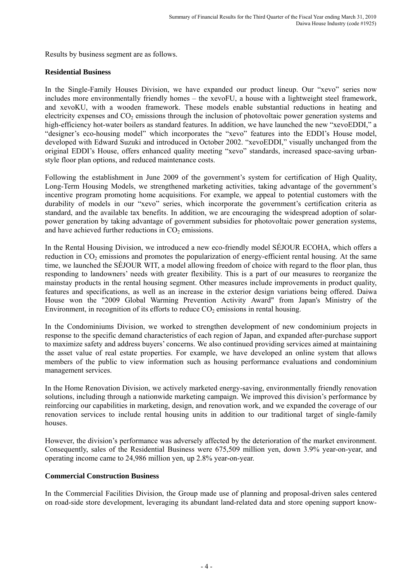Results by business segment are as follows.

# **Residential Business**

In the Single-Family Houses Division, we have expanded our product lineup. Our "xevo" series now includes more environmentally friendly homes – the xevoFU, a house with a lightweight steel framework, and xevoKU, with a wooden framework. These models enable substantial reductions in heating and electricity expenses and  $CO<sub>2</sub>$  emissions through the inclusion of photovoltaic power generation systems and high-efficiency hot-water boilers as standard features. In addition, we have launched the new "xevoEDDI," a "designer's eco-housing model" which incorporates the "xevo" features into the EDDI's House model, developed with Edward Suzuki and introduced in October 2002. "xevoEDDI," visually unchanged from the original EDDI's House, offers enhanced quality meeting "xevo" standards, increased space-saving urbanstyle floor plan options, and reduced maintenance costs.

Following the establishment in June 2009 of the government's system for certification of High Quality, Long-Term Housing Models, we strengthened marketing activities, taking advantage of the government's incentive program promoting home acquisitions. For example, we appeal to potential customers with the durability of models in our "xevo" series, which incorporate the government's certification criteria as standard, and the available tax benefits. In addition, we are encouraging the widespread adoption of solarpower generation by taking advantage of government subsidies for photovoltaic power generation systems, and have achieved further reductions in  $CO<sub>2</sub>$  emissions.

In the Rental Housing Division, we introduced a new eco-friendly model SÉJOUR ECOHA, which offers a reduction in  $CO<sub>2</sub>$  emissions and promotes the popularization of energy-efficient rental housing. At the same time, we launched the SÉJOUR WIT, a model allowing freedom of choice with regard to the floor plan, thus responding to landowners' needs with greater flexibility. This is a part of our measures to reorganize the mainstay products in the rental housing segment. Other measures include improvements in product quality, features and specifications, as well as an increase in the exterior design variations being offered. Daiwa House won the "2009 Global Warming Prevention Activity Award" from Japan's Ministry of the Environment, in recognition of its efforts to reduce  $CO<sub>2</sub>$  emissions in rental housing.

In the Condominiums Division, we worked to strengthen development of new condominium projects in response to the specific demand characteristics of each region of Japan, and expanded after-purchase support to maximize safety and address buyers' concerns. We also continued providing services aimed at maintaining the asset value of real estate properties. For example, we have developed an online system that allows members of the public to view information such as housing performance evaluations and condominium management services.

In the Home Renovation Division, we actively marketed energy-saving, environmentally friendly renovation solutions, including through a nationwide marketing campaign. We improved this division's performance by reinforcing our capabilities in marketing, design, and renovation work, and we expanded the coverage of our renovation services to include rental housing units in addition to our traditional target of single-family houses.

However, the division's performance was adversely affected by the deterioration of the market environment. Consequently, sales of the Residential Business were 675,509 million yen, down 3.9% year-on-year, and operating income came to 24,986 million yen, up 2.8% year-on-year.

# **Commercial Construction Business**

In the Commercial Facilities Division, the Group made use of planning and proposal-driven sales centered on road-side store development, leveraging its abundant land-related data and store opening support know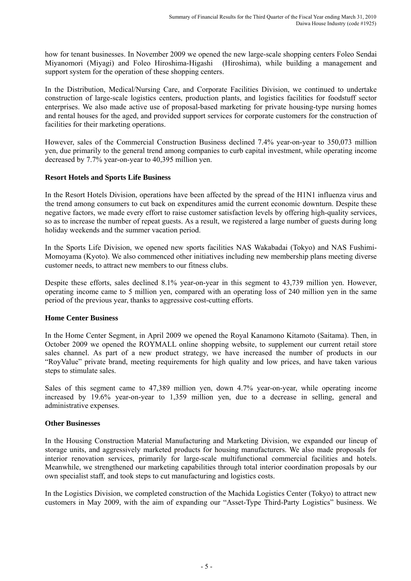how for tenant businesses. In November 2009 we opened the new large-scale shopping centers Foleo Sendai Miyanomori (Miyagi) and Foleo Hiroshima-Higashi (Hiroshima), while building a management and support system for the operation of these shopping centers.

In the Distribution, Medical/Nursing Care, and Corporate Facilities Division, we continued to undertake construction of large-scale logistics centers, production plants, and logistics facilities for foodstuff sector enterprises. We also made active use of proposal-based marketing for private housing-type nursing homes and rental houses for the aged, and provided support services for corporate customers for the construction of facilities for their marketing operations.

However, sales of the Commercial Construction Business declined 7.4% year-on-year to 350,073 million yen, due primarily to the general trend among companies to curb capital investment, while operating income decreased by 7.7% year-on-year to 40,395 million yen.

## **Resort Hotels and Sports Life Business**

In the Resort Hotels Division, operations have been affected by the spread of the H1N1 influenza virus and the trend among consumers to cut back on expenditures amid the current economic downturn. Despite these negative factors, we made every effort to raise customer satisfaction levels by offering high-quality services, so as to increase the number of repeat guests. As a result, we registered a large number of guests during long holiday weekends and the summer vacation period.

In the Sports Life Division, we opened new sports facilities NAS Wakabadai (Tokyo) and NAS Fushimi-Momoyama (Kyoto). We also commenced other initiatives including new membership plans meeting diverse customer needs, to attract new members to our fitness clubs.

Despite these efforts, sales declined 8.1% year-on-year in this segment to 43,739 million yen. However, operating income came to 5 million yen, compared with an operating loss of 240 million yen in the same period of the previous year, thanks to aggressive cost-cutting efforts.

# **Home Center Business**

In the Home Center Segment, in April 2009 we opened the Royal Kanamono Kitamoto (Saitama). Then, in October 2009 we opened the ROYMALL online shopping website, to supplement our current retail store sales channel. As part of a new product strategy, we have increased the number of products in our "RoyValue" private brand, meeting requirements for high quality and low prices, and have taken various steps to stimulate sales.

Sales of this segment came to 47,389 million yen, down 4.7% year-on-year, while operating income increased by 19.6% year-on-year to 1,359 million yen, due to a decrease in selling, general and administrative expenses.

# **Other Businesses**

In the Housing Construction Material Manufacturing and Marketing Division, we expanded our lineup of storage units, and aggressively marketed products for housing manufacturers. We also made proposals for interior renovation services, primarily for large-scale multifunctional commercial facilities and hotels. Meanwhile, we strengthened our marketing capabilities through total interior coordination proposals by our own specialist staff, and took steps to cut manufacturing and logistics costs.

In the Logistics Division, we completed construction of the Machida Logistics Center (Tokyo) to attract new customers in May 2009, with the aim of expanding our "Asset-Type Third-Party Logistics" business. We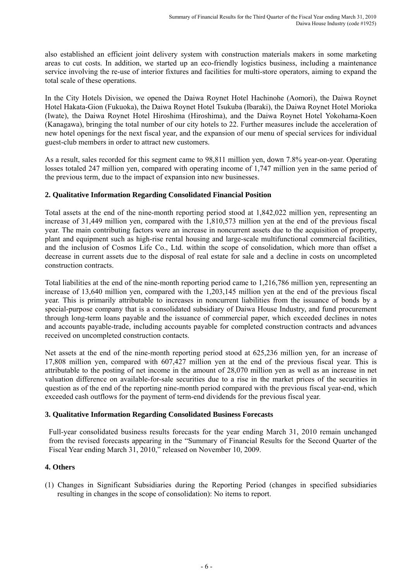also established an efficient joint delivery system with construction materials makers in some marketing areas to cut costs. In addition, we started up an eco-friendly logistics business, including a maintenance service involving the re-use of interior fixtures and facilities for multi-store operators, aiming to expand the total scale of these operations.

In the City Hotels Division, we opened the Daiwa Roynet Hotel Hachinohe (Aomori), the Daiwa Roynet Hotel Hakata-Gion (Fukuoka), the Daiwa Roynet Hotel Tsukuba (Ibaraki), the Daiwa Roynet Hotel Morioka (Iwate), the Daiwa Roynet Hotel Hiroshima (Hiroshima), and the Daiwa Roynet Hotel Yokohama-Koen (Kanagawa), bringing the total number of our city hotels to 22. Further measures include the acceleration of new hotel openings for the next fiscal year, and the expansion of our menu of special services for individual guest-club members in order to attract new customers.

As a result, sales recorded for this segment came to 98,811 million yen, down 7.8% year-on-year. Operating losses totaled 247 million yen, compared with operating income of 1,747 million yen in the same period of the previous term, due to the impact of expansion into new businesses.

# **2. Qualitative Information Regarding Consolidated Financial Position**

Total assets at the end of the nine-month reporting period stood at 1,842,022 million yen, representing an increase of 31,449 million yen, compared with the 1,810,573 million yen at the end of the previous fiscal year. The main contributing factors were an increase in noncurrent assets due to the acquisition of property, plant and equipment such as high-rise rental housing and large-scale multifunctional commercial facilities, and the inclusion of Cosmos Life Co., Ltd. within the scope of consolidation, which more than offset a decrease in current assets due to the disposal of real estate for sale and a decline in costs on uncompleted construction contracts.

Total liabilities at the end of the nine-month reporting period came to 1,216,786 million yen, representing an increase of 13,640 million yen, compared with the 1,203,145 million yen at the end of the previous fiscal year. This is primarily attributable to increases in noncurrent liabilities from the issuance of bonds by a special-purpose company that is a consolidated subsidiary of Daiwa House Industry, and fund procurement through long-term loans payable and the issuance of commercial paper, which exceeded declines in notes and accounts payable-trade, including accounts payable for completed construction contracts and advances received on uncompleted construction contacts.

Net assets at the end of the nine-month reporting period stood at 625,236 million yen, for an increase of 17,808 million yen, compared with 607,427 million yen at the end of the previous fiscal year. This is attributable to the posting of net income in the amount of 28,070 million yen as well as an increase in net valuation difference on available-for-sale securities due to a rise in the market prices of the securities in question as of the end of the reporting nine-month period compared with the previous fiscal year-end, which exceeded cash outflows for the payment of term-end dividends for the previous fiscal year.

# **3. Qualitative Information Regarding Consolidated Business Forecasts**

Full-year consolidated business results forecasts for the year ending March 31, 2010 remain unchanged from the revised forecasts appearing in the "Summary of Financial Results for the Second Quarter of the Fiscal Year ending March 31, 2010," released on November 10, 2009.

# **4. Others**

(1) Changes in Significant Subsidiaries during the Reporting Period (changes in specified subsidiaries resulting in changes in the scope of consolidation): No items to report.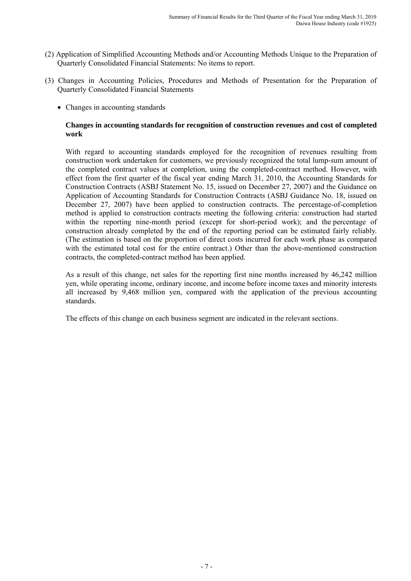- (2) Application of Simplified Accounting Methods and/or Accounting Methods Unique to the Preparation of Quarterly Consolidated Financial Statements: No items to report.
- (3) Changes in Accounting Policies, Procedures and Methods of Presentation for the Preparation of Quarterly Consolidated Financial Statements
	- Changes in accounting standards

## **Changes in accounting standards for recognition of construction revenues and cost of completed work**

With regard to accounting standards employed for the recognition of revenues resulting from construction work undertaken for customers, we previously recognized the total lump-sum amount of the completed contract values at completion, using the completed-contract method. However, with effect from the first quarter of the fiscal year ending March 31, 2010, the Accounting Standards for Construction Contracts (ASBJ Statement No. 15, issued on December 27, 2007) and the Guidance on Application of Accounting Standards for Construction Contracts (ASBJ Guidance No. 18, issued on December 27, 2007) have been applied to construction contracts. The percentage-of-completion method is applied to construction contracts meeting the following criteria: construction had started within the reporting nine-month period (except for short-period work); and the percentage of construction already completed by the end of the reporting period can be estimated fairly reliably. (The estimation is based on the proportion of direct costs incurred for each work phase as compared with the estimated total cost for the entire contract.) Other than the above-mentioned construction contracts, the completed-contract method has been applied.

As a result of this change, net sales for the reporting first nine months increased by 46,242 million yen, while operating income, ordinary income, and income before income taxes and minority interests all increased by 9,468 million yen, compared with the application of the previous accounting standards.

The effects of this change on each business segment are indicated in the relevant sections.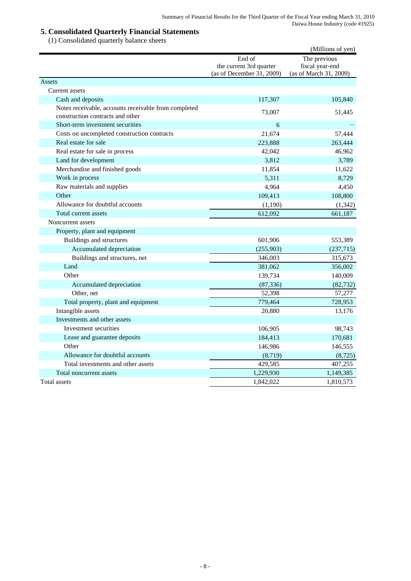## **5. Consolidated Quarterly Financial Statements**

(1) Consolidated quarterly balance sheets

|                                                                                          |                                                                | (Millions of yen)                                         |
|------------------------------------------------------------------------------------------|----------------------------------------------------------------|-----------------------------------------------------------|
|                                                                                          | End of<br>the current 3rd quarter<br>(as of December 31, 2009) | The previous<br>fiscal year-end<br>(as of March 31, 2009) |
| Assets                                                                                   |                                                                |                                                           |
| Current assets                                                                           |                                                                |                                                           |
| Cash and deposits                                                                        | 117,307                                                        | 105,840                                                   |
| Notes receivable, accounts receivable from completed<br>construction contracts and other | 73,007                                                         | 51,445                                                    |
| Short-term investment securities                                                         | 6                                                              |                                                           |
| Costs on uncompleted construction contracts                                              | 21,674                                                         | 57,444                                                    |
| Real estate for sale                                                                     | 223,888                                                        | 263,444                                                   |
| Real estate for sale in process                                                          | 42,042                                                         | 46,962                                                    |
| Land for development                                                                     | 3,812                                                          | 3,789                                                     |
| Merchandise and finished goods                                                           | 11,854                                                         | 11,622                                                    |
| Work in process                                                                          | 5,311                                                          | 8,729                                                     |
| Raw materials and supplies                                                               | 4,964                                                          | 4,450                                                     |
| Other                                                                                    | 109,413                                                        | 108,800                                                   |
| Allowance for doubtful accounts                                                          | (1,190)                                                        | (1, 342)                                                  |
| Total current assets                                                                     | 612,092                                                        | 661,187                                                   |
| Noncurrent assets                                                                        |                                                                |                                                           |
| Property, plant and equipment                                                            |                                                                |                                                           |
| Buildings and structures                                                                 | 601,906                                                        | 553,389                                                   |
| Accumulated depreciation                                                                 | (255,903)                                                      | (237, 715)                                                |
| Buildings and structures, net                                                            | 346,003                                                        | 315,673                                                   |
| Land                                                                                     | 381,062                                                        | 356,002                                                   |
| Other                                                                                    | 139,734                                                        | 140,009                                                   |
| Accumulated depreciation                                                                 | (87, 336)                                                      | (82, 732)                                                 |
| Other, net                                                                               | 52,398                                                         | 57,277                                                    |
| Total property, plant and equipment                                                      | 779,464                                                        | 728,953                                                   |
| Intangible assets                                                                        | 20,880                                                         | 13,176                                                    |
| Investments and other assets                                                             |                                                                |                                                           |
| Investment securities                                                                    | 106,905                                                        | 98,743                                                    |
| Lease and guarantee deposits                                                             | 184,413                                                        | 170,681                                                   |
| Other                                                                                    | 146,986                                                        | 146,555                                                   |
| Allowance for doubtful accounts                                                          | (8,719)                                                        | (8, 725)                                                  |
| Total investments and other assets                                                       | 429,585                                                        | 407,255                                                   |
| Total noncurrent assets                                                                  | 1,229,930                                                      | 1,149,385                                                 |
| Total assets                                                                             | 1,842,022                                                      | 1,810,573                                                 |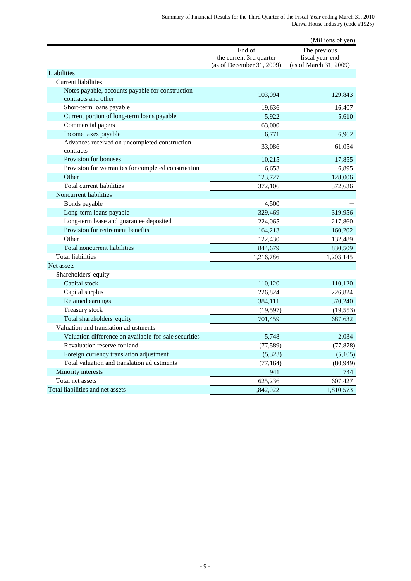|                                                                         |                                                                | (Millions of yen)                                         |
|-------------------------------------------------------------------------|----------------------------------------------------------------|-----------------------------------------------------------|
|                                                                         | End of<br>the current 3rd quarter<br>(as of December 31, 2009) | The previous<br>fiscal year-end<br>(as of March 31, 2009) |
| Liabilities                                                             |                                                                |                                                           |
| <b>Current liabilities</b>                                              |                                                                |                                                           |
| Notes payable, accounts payable for construction<br>contracts and other | 103.094                                                        | 129,843                                                   |
| Short-term loans payable                                                | 19,636                                                         | 16,407                                                    |
| Current portion of long-term loans payable                              | 5,922                                                          | 5,610                                                     |
| Commercial papers                                                       | 63,000                                                         |                                                           |
| Income taxes payable                                                    | 6,771                                                          | 6,962                                                     |
| Advances received on uncompleted construction<br>contracts              | 33,086                                                         | 61,054                                                    |
| Provision for bonuses                                                   | 10,215                                                         | 17,855                                                    |
| Provision for warranties for completed construction                     | 6,653                                                          | 6,895                                                     |
| Other                                                                   | 123,727                                                        | 128,006                                                   |
| Total current liabilities                                               | 372,106                                                        | 372,636                                                   |
| Noncurrent liabilities                                                  |                                                                |                                                           |
| Bonds payable                                                           | 4,500                                                          |                                                           |
| Long-term loans payable                                                 | 329,469                                                        | 319,956                                                   |
| Long-term lease and guarantee deposited                                 | 224,065                                                        | 217,860                                                   |
| Provision for retirement benefits                                       | 164,213                                                        | 160,202                                                   |
| Other                                                                   | 122,430                                                        | 132,489                                                   |
| Total noncurrent liabilities                                            | 844,679                                                        | 830,509                                                   |
| <b>Total liabilities</b>                                                | 1,216,786                                                      | 1,203,145                                                 |
| Net assets                                                              |                                                                |                                                           |
| Shareholders' equity                                                    |                                                                |                                                           |
| Capital stock                                                           | 110,120                                                        | 110,120                                                   |
| Capital surplus                                                         | 226,824                                                        | 226,824                                                   |
| Retained earnings                                                       | 384,111                                                        | 370,240                                                   |
| Treasury stock                                                          | (19, 597)                                                      | (19, 553)                                                 |
| Total shareholders' equity                                              | 701,459                                                        | 687,632                                                   |
| Valuation and translation adjustments                                   |                                                                |                                                           |
| Valuation difference on available-for-sale securities                   | 5,748                                                          | 2,034                                                     |
| Revaluation reserve for land                                            | (77, 589)                                                      | (77, 878)                                                 |
| Foreign currency translation adjustment                                 | (5,323)                                                        | (5,105)                                                   |
| Total valuation and translation adjustments                             | (77, 164)                                                      | (80, 949)                                                 |
| Minority interests                                                      | 941                                                            | 744                                                       |
| Total net assets                                                        | 625,236                                                        | 607,427                                                   |
| Total liabilities and net assets                                        | 1,842,022                                                      | 1,810,573                                                 |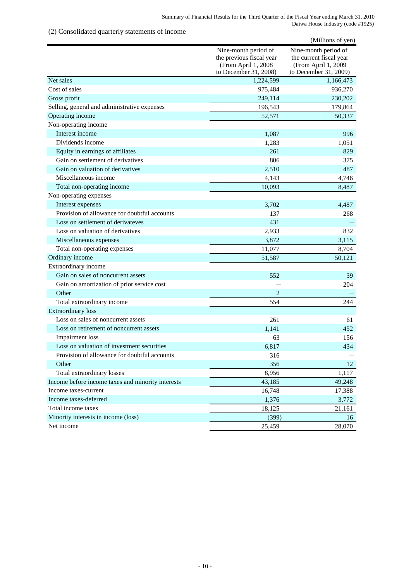## (2) Consolidated quarterly statements of income

|                                                   |                                                                                                  | (Millions of yen)                                                                               |
|---------------------------------------------------|--------------------------------------------------------------------------------------------------|-------------------------------------------------------------------------------------------------|
|                                                   | Nine-month period of<br>the previous fiscal year<br>(From April 1, 2008<br>to December 31, 2008) | Nine-month period of<br>the current fiscal year<br>(From April 1, 2009<br>to December 31, 2009) |
| Net sales                                         | 1,224,599                                                                                        | 1,166,473                                                                                       |
| Cost of sales                                     | 975,484                                                                                          | 936,270                                                                                         |
| Gross profit                                      | 249,114                                                                                          | 230,202                                                                                         |
| Selling, general and administrative expenses      | 196,543                                                                                          | 179,864                                                                                         |
| Operating income                                  | 52,571                                                                                           | 50,337                                                                                          |
| Non-operating income                              |                                                                                                  |                                                                                                 |
| Interest income                                   | 1,087                                                                                            | 996                                                                                             |
| Dividends income                                  | 1,283                                                                                            | 1,051                                                                                           |
| Equity in earnings of affiliates                  | 261                                                                                              | 829                                                                                             |
| Gain on settlement of derivatives                 | 806                                                                                              | 375                                                                                             |
| Gain on valuation of derivatives                  | 2,510                                                                                            | 487                                                                                             |
| Miscellaneous income                              | 4,143                                                                                            | 4,746                                                                                           |
| Total non-operating income                        | 10,093                                                                                           | 8,487                                                                                           |
| Non-operating expenses                            |                                                                                                  |                                                                                                 |
| Interest expenses                                 | 3,702                                                                                            | 4,487                                                                                           |
| Provision of allowance for doubtful accounts      | 137                                                                                              | 268                                                                                             |
| Loss on settlement of derivateves                 | 431                                                                                              |                                                                                                 |
| Loss on valuation of derivatives                  | 2,933                                                                                            | 832                                                                                             |
| Miscellaneous expenses                            | 3,872                                                                                            | 3,115                                                                                           |
| Total non-operating expenses                      | 11,077                                                                                           | 8,704                                                                                           |
| Ordinary income                                   | 51,587                                                                                           | 50,121                                                                                          |
| Extraordinary income                              |                                                                                                  |                                                                                                 |
| Gain on sales of noncurrent assets                | 552                                                                                              | 39                                                                                              |
| Gain on amortization of prior service cost        |                                                                                                  | 204                                                                                             |
| Other                                             | $\overline{2}$                                                                                   |                                                                                                 |
| Total extraordinary income                        | 554                                                                                              | 244                                                                                             |
| <b>Extraordinary</b> loss                         |                                                                                                  |                                                                                                 |
| Loss on sales of noncurrent assets                | 261                                                                                              | 61                                                                                              |
| Loss on retirement of noncurrent assets           | 1,141                                                                                            | 452                                                                                             |
| <b>Impairment</b> loss                            | 63                                                                                               | 156                                                                                             |
| Loss on valuation of investment securities        | 6,817                                                                                            | 434                                                                                             |
| Provision of allowance for doubtful accounts      | 316                                                                                              |                                                                                                 |
| Other                                             | 356                                                                                              | 12                                                                                              |
| Total extraordinary losses                        | 8,956                                                                                            | 1,117                                                                                           |
| Income before income taxes and minority interests | 43,185                                                                                           | 49,248                                                                                          |
| Income taxes-current                              | 16,748                                                                                           | 17,388                                                                                          |
| Income taxes-deferred                             | 1,376                                                                                            | 3,772                                                                                           |
| Total income taxes                                | 18,125                                                                                           | 21,161                                                                                          |
| Minority interests in income (loss)               | (399)                                                                                            | 16                                                                                              |
| Net income                                        | 25,459                                                                                           | 28,070                                                                                          |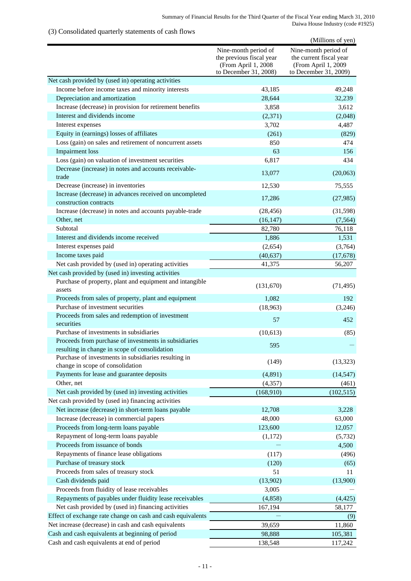## (3) Consolidated quarterly statements of cash flows

|                                                                                                        |                                                                                                  | (Millions of yen)                                                                               |
|--------------------------------------------------------------------------------------------------------|--------------------------------------------------------------------------------------------------|-------------------------------------------------------------------------------------------------|
|                                                                                                        | Nine-month period of<br>the previous fiscal year<br>(From April 1, 2008<br>to December 31, 2008) | Nine-month period of<br>the current fiscal year<br>(From April 1, 2009<br>to December 31, 2009) |
| Net cash provided by (used in) operating activities                                                    |                                                                                                  |                                                                                                 |
| Income before income taxes and minority interests                                                      | 43,185                                                                                           | 49,248                                                                                          |
| Depreciation and amortization                                                                          | 28,644                                                                                           | 32,239                                                                                          |
| Increase (decrease) in provision for retirement benefits                                               | 3,858                                                                                            | 3,612                                                                                           |
| Interest and dividends income                                                                          | (2,371)                                                                                          | (2,048)                                                                                         |
| Interest expenses                                                                                      | 3,702                                                                                            | 4,487                                                                                           |
| Equity in (earnings) losses of affiliates                                                              | (261)                                                                                            | (829)                                                                                           |
| Loss (gain) on sales and retirement of noncurrent assets                                               | 850                                                                                              | 474                                                                                             |
| <b>Impairment</b> loss                                                                                 | 63                                                                                               | 156                                                                                             |
| Loss (gain) on valuation of investment securities                                                      | 6,817                                                                                            | 434                                                                                             |
| Decrease (increase) in notes and accounts receivable-<br>trade                                         | 13,077                                                                                           | (20,063)                                                                                        |
| Decrease (increase) in inventories                                                                     | 12,530                                                                                           | 75,555                                                                                          |
| Increase (decrease) in advances received on uncompleted<br>construction contracts                      | 17,286                                                                                           | (27,985)                                                                                        |
| Increase (decrease) in notes and accounts payable-trade                                                | (28, 456)                                                                                        | (31,598)                                                                                        |
| Other, net                                                                                             | (16, 147)                                                                                        | (7, 564)                                                                                        |
| Subtotal                                                                                               | 82,780                                                                                           | 76,118                                                                                          |
| Interest and dividends income received                                                                 | 1,886                                                                                            | 1,531                                                                                           |
| Interest expenses paid                                                                                 | (2,654)                                                                                          | (3,764)                                                                                         |
| Income taxes paid                                                                                      | (40, 637)                                                                                        | (17,678)                                                                                        |
| Net cash provided by (used in) operating activities                                                    | 41,375                                                                                           | 56,207                                                                                          |
| Net cash provided by (used in) investing activities                                                    |                                                                                                  |                                                                                                 |
| Purchase of property, plant and equipment and intangible<br>assets                                     | (131,670)                                                                                        | (71, 495)                                                                                       |
| Proceeds from sales of property, plant and equipment                                                   | 1,082                                                                                            | 192                                                                                             |
| Purchase of investment securities                                                                      | (18,963)                                                                                         | (3,246)                                                                                         |
| Proceeds from sales and redemption of investment<br>securities                                         | 57                                                                                               | 452                                                                                             |
| Purchase of investments in subsidiaries                                                                | (10,613)                                                                                         | (85)                                                                                            |
| Proceeds from purchase of investments in subsidiaries<br>resulting in change in scope of consolidation | 595                                                                                              |                                                                                                 |
| Purchase of investments in subsidiaries resulting in<br>change in scope of consolidation               | (149)                                                                                            | (13, 323)                                                                                       |
| Payments for lease and guarantee deposits                                                              | (4,891)                                                                                          | (14, 547)                                                                                       |
| Other, net                                                                                             | (4, 357)                                                                                         | (461)                                                                                           |
| Net cash provided by (used in) investing activities                                                    | (168,910)                                                                                        | (102, 515)                                                                                      |
| Net cash provided by (used in) financing activities                                                    |                                                                                                  |                                                                                                 |
| Net increase (decrease) in short-term loans payable                                                    | 12,708                                                                                           | 3,228                                                                                           |
| Increase (decrease) in commercial papers                                                               | 48,000                                                                                           | 63,000                                                                                          |
| Proceeds from long-term loans payable                                                                  | 123,600                                                                                          | 12,057                                                                                          |
| Repayment of long-term loans payable                                                                   | (1,172)                                                                                          | (5, 732)                                                                                        |
| Proceeds from issuance of bonds                                                                        |                                                                                                  | 4,500                                                                                           |
| Repayments of finance lease obligations                                                                | (117)                                                                                            | (496)                                                                                           |
| Purchase of treasury stock                                                                             | (120)                                                                                            | (65)                                                                                            |
| Proceeds from sales of treasury stock                                                                  | 51                                                                                               | 11                                                                                              |
| Cash dividends paid                                                                                    | (13,902)                                                                                         | (13,900)                                                                                        |
| Proceeds from fluidity of lease receivables                                                            | 3,005                                                                                            |                                                                                                 |
| Repayments of payables under fluidity lease receivables                                                | (4, 858)                                                                                         | (4, 425)                                                                                        |
| Net cash provided by (used in) financing activities                                                    | 167,194                                                                                          | 58,177                                                                                          |
| Effect of exchange rate change on cash and cash equivalents                                            |                                                                                                  | (9)                                                                                             |
| Net increase (decrease) in cash and cash equivalents                                                   | 39,659                                                                                           | 11,860                                                                                          |
| Cash and cash equivalents at beginning of period                                                       | 98,888                                                                                           | 105,381                                                                                         |
| Cash and cash equivalents at end of period                                                             | 138,548                                                                                          | 117,242                                                                                         |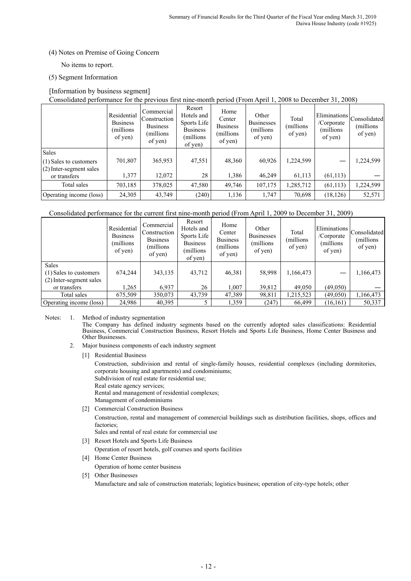## (4) Notes on Premise of Going Concern

No items to report.

## (5) Segment Information

## [Information by business segment]

Consolidated performance for the previous first nine-month period (From April 1, 2008 to December 31, 2008)

|                                           | Residential<br><b>Business</b><br>(millions)<br>of yen) | Commercial<br>Construction<br><b>Business</b><br>(millions)<br>of yen) | Resort<br>Hotels and<br>Sports Life<br><b>Business</b><br>millions)<br>of yen) | Home<br>Center<br><b>Business</b><br>(millions)<br>of yen) | Other<br><b>Businesses</b><br>(millions)<br>of yen) | Total<br>millions)<br>of yen) | /Corporate<br>(millions)<br>of yen) | Eliminations <br>Consolidated<br>(millions)<br>of yen) |
|-------------------------------------------|---------------------------------------------------------|------------------------------------------------------------------------|--------------------------------------------------------------------------------|------------------------------------------------------------|-----------------------------------------------------|-------------------------------|-------------------------------------|--------------------------------------------------------|
| Sales                                     |                                                         |                                                                        |                                                                                |                                                            |                                                     |                               |                                     |                                                        |
| $(1)$ Sales to customers                  | 701,807                                                 | 365,953                                                                | 47,551                                                                         | 48,360                                                     | 60,926                                              | 1,224,599                     |                                     | 1,224,599                                              |
| $(2)$ Inter-segment sales<br>or transfers | 1,377                                                   | 12,072                                                                 | 28                                                                             | 1,386                                                      | 46.249                                              | 61,113                        | (61, 113)                           |                                                        |
| Total sales                               | 703,185                                                 | 378,025                                                                | 47,580                                                                         | 49,746                                                     | 107,175                                             | 1,285,712                     | (61, 113)                           | 1,224,599                                              |
| Operating income (loss)                   | 24,305                                                  | 43,749                                                                 | (240)                                                                          | 1,136                                                      | 1,747                                               | 70,698                        | (18, 126)                           | 52,571                                                 |

## Consolidated performance for the current first nine-month period (From April 1, 2009 to December 31, 2009)

|                                                                                   | Residential<br><b>Business</b><br>(millions)<br>of yen) | Commercial<br>Construction<br><b>Business</b><br>millions)<br>of yen) | Resort<br>Hotels and<br>Sports Life<br><b>Business</b><br>(millions)<br>of yen) | Home<br>Center<br><b>Business</b><br>(millions)<br>of yen) | Other<br><b>Businesses</b><br>(millions)<br>of yen) | Total<br>(millions<br>of yen) | Eliminations Consolidated<br>/Corporate<br>(millions)<br>of yen) | (millions)<br>of yen) |
|-----------------------------------------------------------------------------------|---------------------------------------------------------|-----------------------------------------------------------------------|---------------------------------------------------------------------------------|------------------------------------------------------------|-----------------------------------------------------|-------------------------------|------------------------------------------------------------------|-----------------------|
| <b>Sales</b><br>(1) Sales to customers<br>(2) Inter-segment sales<br>or transfers | 674,244<br>1,265                                        | 343,135<br>6,937                                                      | 43,712<br>26                                                                    | 46,381<br>1,007                                            | 58,998<br>39,812                                    | 1,166,473<br>49,050           | (49,050)                                                         | 1,166,473             |
| Total sales                                                                       | 675,509                                                 | 350,073                                                               | 43,739                                                                          | 47,389                                                     | 98,811                                              | 1,215,523                     | (49,050)                                                         | 1,166,473             |
| Operating income (loss)                                                           | 24,986                                                  | 40,395                                                                |                                                                                 | 1,359                                                      | (247)                                               | 66,499                        | (16, 161)                                                        | 50,337                |

### Notes: 1. Method of industry segmentation

The Company has defined industry segments based on the currently adopted sales classifications: Residential Business, Commercial Construction Business, Resort Hotels and Sports Life Business, Home Center Business and Other Businesses.

- 2. Major business components of each industry segment
	- [1] Residential Business

Construction, subdivision and rental of single-family houses, residential complexes (including dormitories, corporate housing and apartments) and condominiums;

Subdivision of real estate for residential use; Real estate agency services;

Rental and management of residential complexes;

- Management of condominiums
- [2] Commercial Construction Business

Construction, rental and management of commercial buildings such as distribution facilities, shops, offices and factories;

Sales and rental of real estate for commercial use

- [3] Resort Hotels and Sports Life Business
	- Operation of resort hotels, golf courses and sports facilities
- [4] Home Center Business
	- Operation of home center business
- [5] Other Businesses

Manufacture and sale of construction materials; logistics business; operation of city-type hotels; other